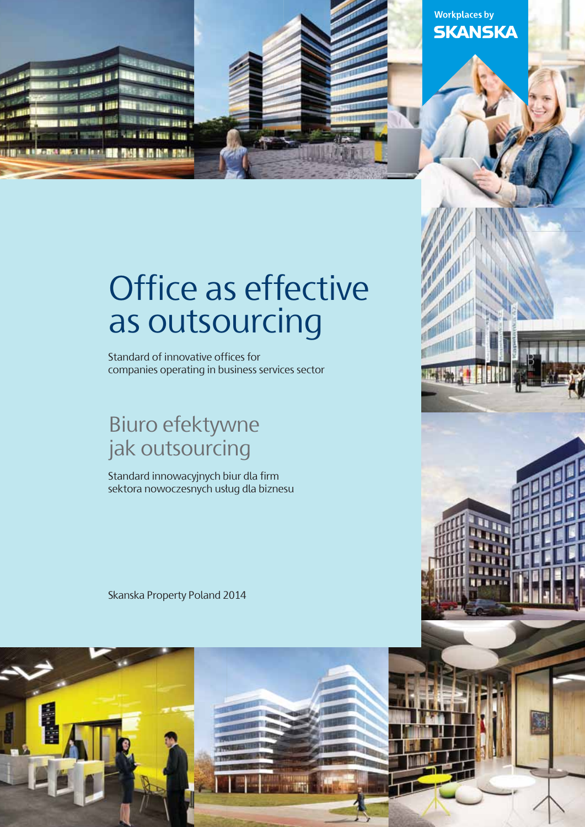

### **Workplaces by SKANSKA**

# Office as effective as outsourcing

Standard of innovative offices for companies operating in business services sector

### Biuro efektywne jak outsourcing

Standard innowacyjnych biur dla firm sektora nowoczesnych usług dla biznesu

Skanska Property Poland 2014

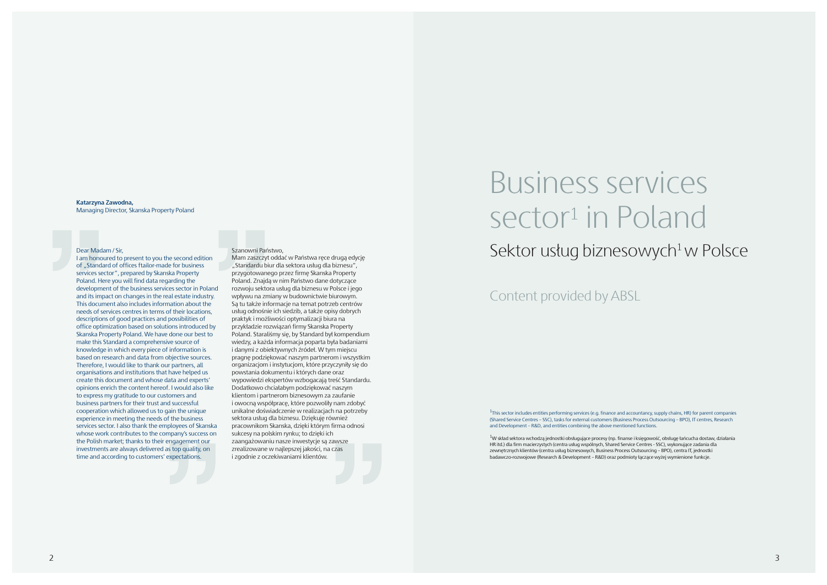# Business services sector<sup>1</sup> in Poland Dear Madam / Sir, Sir, Stanow the second edition Mam zaszczyt oddać w Państwa rece druga edvcie Sektor usług biznesowych<sup>1</sup> w Polsce

I am honoured to present to you the second edition of ..Standard of offices ftailor-made for business services sector", prepared by Skanska Property Poland. Here you will find data regarding the development of the business services sector in Poland and its impact on changes in the real estate industry. This document also includes information about the needs of services centres in terms of their locations, descriptions of good practices and possibilities of office optimization based on solutions introduced by Skanska Property Poland. We have done our best to make this Standard a comprehensive source of knowledge in which every piece of information is based on research and data from objective sources. Therefore, I would like to thank our partners, all organisations and institutions that have helped us create this document and whose data and experts' opinions enrich the content hereof. I would also like to express my gratitude to our customers and business partners for their trust and successful cooperation which allowed us to gain the unique experience in meeting the needs of the business services sector. I also thank the employees of Skanska whose work contributes to the company's success on the Polish market; thanks to their engagement our investments are always delivered as top quality, on time and according to customers' expectations.

#### Szanowni Państwo,

 $1$ This sector includes entities performing services (e.g. finance and accountancy, supply chains, HR) for parent companies (Shared Service Centres – SSC), tasks for external customers (Business Process Outsourcing – BPO), IT centres, Research and Development – R&D, and entities combining the above mentioned functions.

Mam zaszczyt oddać w Państwa ręce drugą edycję "Standardu biur dla sektora usług dla biznesu", przygotowanego przez firmę Skanska Property Poland. Znajdą w nim Państwo dane dotyczące rozwoju sektora usług dla biznesu w Polsce i jego wpływu na zmiany w budownictwie biurowym. Są tu także informacje na temat potrzeb centrów usług odnośnie ich siedzib, a także opisy dobrych praktyk i możliwości optymalizacji biura na przykładzie rozwiązań firmy Skanska Property Poland. Staraliśmy się, by Standard był kompendium wiedzy, a każda informacja poparta była badaniami i danymi z obiektywnych źródeł. W tym miejscu pragnę podziękować naszym partnerom i wszystkim organizacjom i instytucjom, które przyczyniły się do powstania dokumentu i których dane oraz wypowiedzi ekspertów wzbogacają treść Standardu. Dodatkowo chciałabym podziękować naszym klientom i partnerom biznesowym za zaufanie i owocną współpracę, które pozwoliły nam zdobyć unikalne doświadczenie w realizacjach na potrzeby sektora usług dla biznesu. Dziękuję również pracownikom Skanska, dzięki którym firma odnosi sukcesy na polskim rynku; to dzięki ich zaangażowaniu nasze inwestycje są zawsze zrealizowane w najlepszej jakości, na czas i zgodnie z oczekiwaniami klientów.

#### **Katarzyna Zawodna,**  Managing Director, Skanska Property Poland

1W skład sektora wchodzą jednostki obsługujące procesy (np. finanse i księgowość, obsługę łańcucha dostaw, działania HR itd.) dla firm macierzystych (centra usług wspólnych, Shared Service Centres - SSC), wykonujące zadania dla zewnętrznych klientów (centra usług biznesowych, Business Process Outsourcing – BPO), centra IT, jednostki badawczo-rozwojowe (Research & Development – R&D) oraz podmioty łączące wyżej wymienione funkcje.

### Content provided by ABSL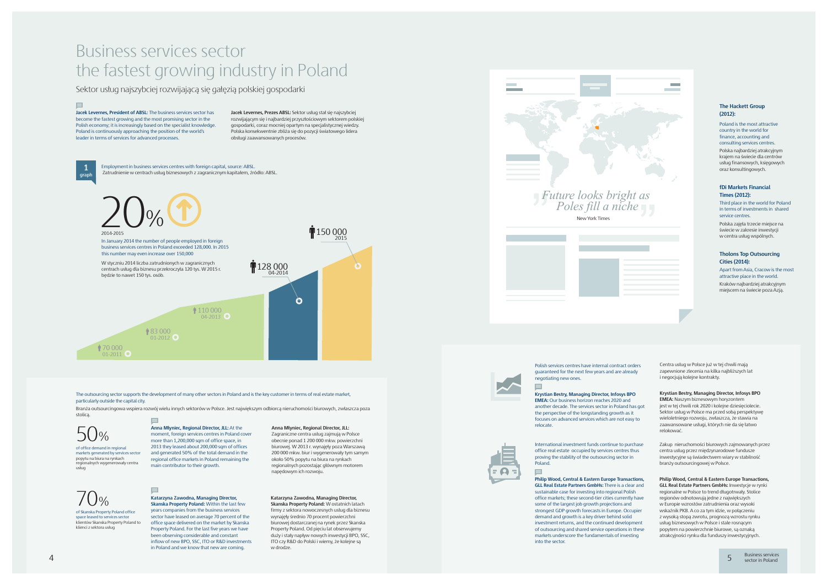# Business services sector the fastest growing industry in Poland

Sektor usług najszybciej rozwijającą się gałęzią polskiej gospodarki

The outsourcing sector supports the development of many other sectors in Poland and is the key customer in terms of real estate market, particularly outside the capital city.

Branża outsourcingowa wspiera rozwój wielu innych sektorów w Polsce. Jest największym odbiorcą nieruchomości biurowych, zwłaszcza poza stolicą.

> more than 1,200,000 sqm of office space, in 2013 they leased about 200,000 sqm of offices and generated 50% of the total demand in the regional office markets in Poland remaining the main contributor to their growth.

Employment in business services centres with foreign capital, source: ABSL. Zatrudnienie w centrach usług biznesowych z zagranicznym kapitałem, źródło: ABSL.

of office demand in regional markets generated by services sector popytu na biura na rynkach regionalnych wygenerowały centra usług

#### **Anna Młyniec, Regional Director, JLL:** At the moment, foreign services centres in Poland cover

#### **Anna Młyniec, Regional Director, JLL:**

Zagraniczne centra usług zajmują w Polsce obecnie ponad 1 200 000 mkw. powierzchni biurowej. W 2013 r. wynajęły poza Warszawą 200 000 mkw. biur i wygenerowały tym samym około 50% popytu na biura na rynkach regionalnych pozostając głównym motorem napędowym ich rozwoju.

150 000



of Skanska Property Poland office space leased to services sector klientów Skanska Property Poland to klienci z sektora usług

### **Katarzyna Zawodna, Managing Director, Skanska Property Poland:** Within the last few years companies from the business services

International investment funds continue to purchase office real estate occupied by services centres thus proving the stability of the outsourcing sector in Poland.  $\equiv$ 

sector have leased on average 70 percent of the office space delivered on the market by Skanska Property Poland. For the last five years we have been observing considerable and constant inflow of new BPO, SSC, ITO or R&D investments in Poland and we know that new are coming.

#### **Katarzyna Zawodna, Managing Director, Skanska Property Poland:** W ostatnich latach firmy z sektora nowoczesnych usług dla biznesu wynajęły średnio 70 procent powierzchni



biurowej dostarczanej na rynek przez Skanska Property Poland. Od pięciu lat obserwujemy duży i stały napływ nowych inwestycji BPO, SSC, ITO czy R&D do Polski i wiemy, że kolejne są w drodze.







Polish services centres have internal contract orders guaranteed for the next few years and are already negotiating new ones.  $\equiv$ 

**Jacek Levernes, President of ABSL:** The business services sector has become the fastest growing and the most promising sector in the Polish economy; it is increasingly based on the specialist knowledge. Poland is continuously approaching the position of the world's leader in terms of services for advanced processes.

> In January 2014 the number of people employed in foreign business services centres in Poland exceeded 128,000. In 2015 this number may even increase over 150,000

W styczniu 2014 liczba zatrudnionych w zagranicznych centrach usług dla biznesu przekroczyła 120 tys. W 2015 r. będzie to nawet 150 tys. osób.

 $\equiv$ 

 $\equiv$ 

01-2011 70 000 01-2012 83 000 04-2013<sup>(C</sup> 110 000

04-2014 128 000

 $\bullet$ 

**graph 1**

**Jacek Levernes, Prezes ABSL:** Sektor usług stał się najszybciej rozwijającym się i najbardziej przyszłościowym sektorem polskiej gospodarki, coraz mocniej opartym na specjalistycznej wiedzy. Polska konsekwentnie zbliża się do pozycji światowego lidera obsługi zaawansowanych procesów.

**Philip Wood, Central & Eastern Europe Transactions, GLL Real Estate Partners GmbHs :** There is a clear and sustainable case for investing into regional Polish office markets; these second-tier cities currently have some of the largest job growth projections and strongest GDP growth forecasts in Europe. Occupier demand and growth is a key driver behind solid investment returns, and the continued development of outsourcing and shared service operations in these markets underscore the fundamentals of investing into the sector.

#### **Tholons Top Outsourcing Cities (2014):**

Apart from Asia, Cracow is the most attractive place in the world.

Kraków najbardziej atrakcyjnym miejscem na świecie poza Azją.

Poland is the most attractive country in the world for finance, accounting and consulting services centres. Polska najbardziej atrakcyjnym krajem na świecie dla centrów usług finansowych, księgowych oraz konsultingowych.

#### **The Hackett Group (2012):**

Third place in the world for Poland in terms of investments in shared service centres.

Polska zajęła trzecie miejsce na świecie w zakresie inwestycji w centra usług wspólnych.

#### **fDi Markets Financial Times (2012):**

**Krystian Bestry, Managing Director, Infosys BPO EMEA:** Our business horizon reaches 2020 and another decade. The services sector in Poland has got the perspective of the longstanding growth as it focuses on advanced services which are not easy to relocate.



Zakup nieruchomości biurowych zajmowanych przez centra usług przez międzynarodowe fundusze inwestycyjne są świadectwem wiary w stabilność branży outsourcingowej w Polsce.





**Philip Wood, Central & Eastern Europe Transactions, GLL Real Estate Partners GmbHs :** Inwestycje w rynki regionalne w Polsce to trend długotrwały. Stolice regionów odnotowują jedne z największych w Europie wzrostów zatrudnienia oraz wysoki wskaźnik PKB. A co za tym idzie, w połączeniu z wysoką stopą zwrotu, prognozą wzrostu rynku usług biznesowych w Polsce i stale rosnącym popytem na powierzchnie biurowe, są oznaką atrakcyjności rynku dla funduszy inwestycyjnych.

Centra usług w Polsce już w tej chwili mają zapewnione zlecenia na kilka najbliższych lat i negocjują kolejne kontrakty.

**Krystian Bestry, Managing Director, Infosys BPO EMEA:** Naszym biznesowym horyzontem jest w tej chwili rok 2020 i kolejne dziesięciolecie. Sektor usług w Polsce ma przed sobą perspektywę wieloletniego rozwoju, zwłaszcza, że stawia na zaawansowane usługi, których nie da się łatwo relokować.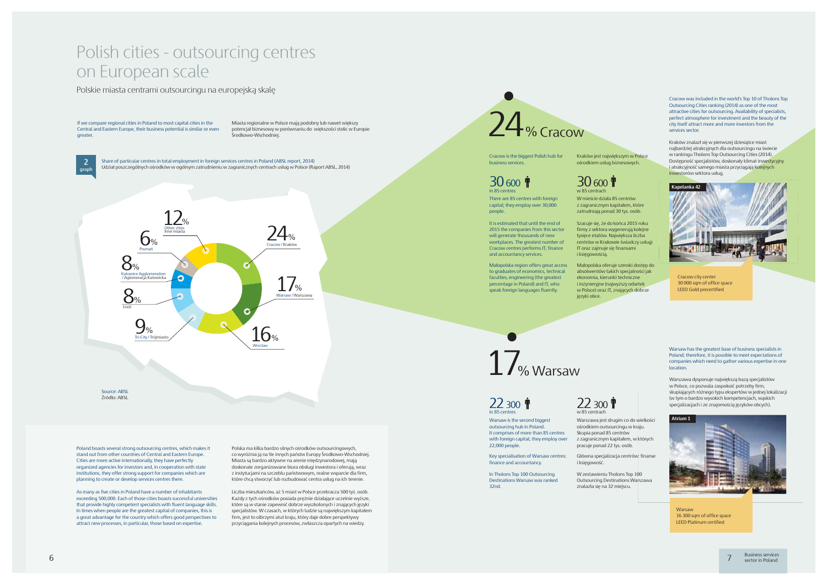6

# Polish cities - outsourcing centres on European scale

Polskie miasta centrami outsourcingu na europejską skalę

Source: ABSL Źródło: ABSL

Share of particular centres in total employment in foreign services centres in Poland (ABSL report, 2014) Udział poszczególnych ośrodków w ogólnym zatrudnieniu w zagranicznych centrach usług w Polsce (Raport ABSL, 2014) **graph <sup>2</sup>**



Poland boasts several strong outsourcing centres, which makes it stand out from other countries of Central and Eastern Europe. Cities are more active internationally, they have perfectly organized agencies for investors and, in cooperation with state institutions, they offer strong support for companies which are planning to create or develop services centres there.

Polska ma kilka bardzo silnych ośrodków outsourcingowych, co wyróżnia ją na tle innych państw Europy Środkowo-Wschodniej. Miasta są bardzo aktywne na arenie międzynarodowej, mają doskonale zorganizowane biura obsługi inwestora i oferują, wraz z instytucjami na szczeblu państwowym, realne wsparcie dla firm, które chcą stworzyć lub rozbudować centra usług na ich terenie.

If we compare regional cities in Poland to most capital cities in the Central and Eastern Europe, their business potential is similar or even greater.

Miasta regionalne w Polsce mają podobny lub nawet większy potencjał biznesowy w porównaniu do większości stolic w Europie Środkowo-Wschodniej.

#### $30\,$  600  $\dot{\mathbf{r}}$ in 85 centres

As many as five cities in Poland have a number of inhabitants exceeding 500,000. Each of those cities boasts successful universities that provide highly competent specialists with fluent language skills. In times when people are the greatest capital of companies, this is a great advantage for the country which offers good perspectives to attract new processes, in particular, those based on expertise.

 $30<sub>600</sub>$  fr w 85 centrach

17<sub>% Warsaw</sub>

Liczba mieszkańców, aż 5 miast w Polsce przekracza 500 tyś. osób. Każdy z tych ośrodków posiada prężnie działające uczelnie wyższe, które są w stanie zapewnić dobrze wyszkolonych i znających języki specjalistów. W czasach, w których ludzie są największym kapitałem firm, jest to olbrzymi atut kraju, który daje dobre perspektywy przyciągania kolejnych procesów, zwłaszcza opartych na wiedzy.

Cracow is the biggest Polish hub for business services.

### 22 300 T in 85 centres

There are 85 centres with foreign capital; they employ over 30,000 people.

> $22,300$  T w 85 centrach

> > **Warsaw** 16 300 sqm of office space LEED Platinum certified

It is estimated that until the end of 2015 the companies from this sector will generate thousands of new workplaces. The greatest number of Cracow centres performs IT, finance and accountancy services.

Cracow was included in the world's Top 10 of Tholons Top Outsourcing Cities ranking (2014) as one of the most attractive cities for outsourcing. Availability of specialists, perfect atmosphere for investment and the beauty of the city itself attract more and more investors from the services sector.

Kraków znalazł się w pierwszej dziesiątce miast najbardziej atrakcyjnych dla outsourcingu na świecie w rankingu Tholons Top Outsourcing Cities (2014). Dostępność specjalistów, doskonały klimat inwestycyjny i atrakcyjność samego miasta przyciągają kolejnych inwestorów sektora usług.

Małopolska region offers great access to graduates of economics, technical faculties, engineering (the greatest percentage in Poland) and IT, who speak foreign languages fluently.

Kraków jest największym w Polsce ośrodkiem usług biznesowych.

# 24 %Cracow

W mieście działa 85 centrów z zagranicznym kapitałem, które zatrudniają ponad 30 tys. osób. Szacuje się, że do końca 2015 roku firmy z sektora wygenerują kolejne tysięce etatów. Największa liczba

centrów w Krakowie świadczy usługi IT oraz zajmuje się finansami i księgowością. Małopolska oferuje szeroki dostęp do absolwentów takich specjalności jak ekonomia, kierunki techniczne i inżynieryjne (najwyższy odsetek

języki obce.

w Polsce) oraz IT, znających dobrze

Warsaw is the second biggest outsourcing hub in Poland. It comprises of more than 85 centres with foreign capital; they employ over 22,000 people.

Key specialisation of Warsaw centres: finance and accountancy.

Warsaw has the greatest base of business specialists in Poland; therefore, it is possible to meet expectations of companies which need to gather various expertise in one location.

Warszawa dysponuje największą bazą specjalistów w Polsce, co pozwala zaspokoić potrzeby firm, skupiających różnego typu ekspertów w jednej lokalizacji (w tym o bardzo wysokich kompetencjach, wąskich specjalizacjach i ze znajomością języków obcych).

In Tholons Top 100 Outsourcing Destinations Warsaw was ranked 32nd.

W zestawieniu Tholons Top 100 Outsourcing Destinations Warszawa znalazła się na 32 miejscu.



Główna specjalizacja centrów: finanse

i księgowość.





Cracow city center 30 000 sqm of office space LEED Gold precertified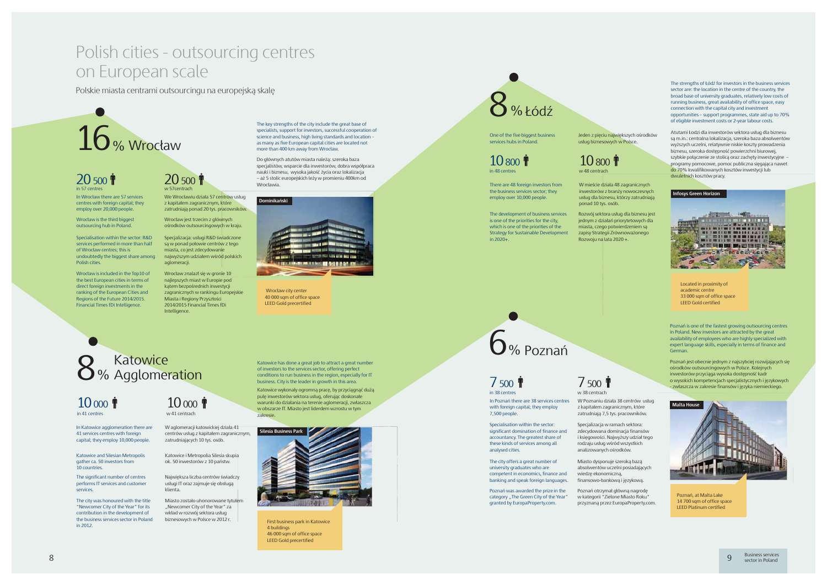In Katowice agglomeration there are 41 services centres with foreign capital; they employ 10,000 people.

in 41 centres

W aglomeracji katowickiej działa 41

zatrudniających 10 tys. osób .

Katowice and Silesian Metropolis gather ca. 50 investors from 10 countries.

Katowice i Metropolia Silesia skupia ok. 50 inwestorów z 10 państw.

 $10 \, \mathrm{no}$   $\mathbf{\hat{T}}$ w 41 centrach

The significant number of centres performs IT services and customer services.

Największa liczba centrów świadczy usługi IT oraz zajmuje się obsługą

klienta.

The city was honoured with the title "Newcomer City of the Year" for its contribution in the development of the business services sector in Poland in 2012.



Miasto zostało uhonorowane tytułem "Newcomer City of the Year" za wkład w rozwój sektora usług biznesowych w Polsce w 2012 r.

Katowice has done a great job to attract a great number of investors to the services sector, offering perfect conditions to run business in the region, especially for IT business. City is the leader in growth in this area.

Katowice wykonały ogromną pracę, by przyciągnąć dużą pulę inwestorów sektora usług, oferując doskonałe warunki do działania na terenie aglomeracji, zwłaszcza w obszarze IT. Miasto jest liderdem wzrostu w tym zakresie.

### Katowice 8 % Agglomeration

### 10 000

# Polish cities - outsourcing centres on European scale

Polskie miasta centrami outsourcingu na europejską skalę

 $7500$  T w 38 centrach

In Poznań there are 38 services centres with foreign capital; they employ 7,500 people.

There are 48 foreign investors from the business services sector; they employ over 10,000 people.

The development of business services is one of the priorities for the city, which is one of the priorities of the Strategy for Sustainable Development  $\frac{1}{2020+}$ 

Specialisation within the sector: significant domination of finance and accountancy. The greatest share of these kinds of services among all analysed cities.

Poznań is one of the fastest growing outsourcing centres in Poland. New investors are attracted by the great availability of employees who are highly specialized with expert language skills, especially in terms of finance and German.

Poznań jest obecnie jednym z najszybciej rozwijających się ośrodków outsourcingowych w Polsce. Kolejnych inwestorów przyciąga wysoka dostępność kadr o wysokich kompetencjach specjalistycznych i językowych - zwłaszcza w zakresie finansów i języka niemieckiego.



### 7 500 in 38 centres

W Poznaniu działa 38 centrów usług z kapitałem zagranicznym, które zatrudniają 7,5 tys. pracowników.

Specjalizacja w ramach sektora: zdecydowana dominacja finansów i księgowości. Najwyższy udział tego rodzaju usług wśród wszystkich

The city offers a great number of university graduates who are competent in economics, finance and banking and speak foreign languages.

analizowanych ośrodków. Miasto dysponuje szeroką bazą absolwentów uczelni posiadających wiedzę ekonomiczną, finansowo-bankową i językową.

Poznań was awarded the prize in the category "The Green City of the Year" granted by EuropaProperty.com.

Poznań otrzymał główną nagrodę w kategorii "Zielone Miasto Roku" przyznaną przez EuropaProperty.com.



One of the five biggest business services hubs in Poland.

Wrocław znalazł się w gronie 10 najlepszych miast w Europie pod kątem bezpośrednich inwestycji zagranicznych w rankingu Europejskie Miasta i Regiony Przyszłości 2014/2015 Financial Times fDi Intelligence

20 500 w 57centrach

> zapisy Strategii Zrównoważonego Rozwoju na lata 2020 +.

Rozwój sektora usług dla biznesu jest jednym z działań priorytetowych dla miasta, czego potwierdzeniem są usług dla biznesu, którzy zatrudniają ponad 10 tys. osób .

 $10,800$ 

W mieście działa 48 zagranicznych inwestorów z branży nowoczesnych The strengths of Łódź for investors in the business services sector are: the location in the centre of the country, the broad base of university graduates, relatively low costs of running business, great availability of office space, easy connection with the capital city and investment opportunities – support programmes, state aid up to 70% of eligible investment costs or 2-year labour costs.

Atutami Łodzi dla inwestorów sektora usług dla biznesu są m.in.: centralna lokalizacja, szeroka baza absolwentów wyższych uczelni, relatywnie niskie koszty prowadzenia biznesu, szeroka dostępność powierzchni biurowej, szybkie połączenie ze stolicą oraz zachęty inwestycyjne – programy pomocowe, pomoc publiczna sięgająca nawet do 70% kwalifikowanych kosztów inwestycji lub dwuletnich kosztów pracy.

Jeden z pięciu największych ośrodków usług biznesowych w Polsce.





#### **Infosys Green Horizon**



Located in proximity of academic centre 33 000 sqm of office space LEED Gold certified

Poznań, at Malta Lake 14 700 sqm of office space LEED Platinum certified

First business park in Katowice 4 buildings 46 000 sqm of office space LEED Gold precertified

In Wrocław there are 57 services centres with foreign capital; they employ over 20,000 people.



Do głównych atutów miasta należą: szeroka baza specjalistów, wsparcie dla inwestorów, dobra współpraca nauki i biznesu, wysoka jakość życia oraz lokalizacja – aż 5 stolic europejskich leży w promieniu 400km od Wrocławia.

# 16 % Wrocław

#### 20 500 T  $in 57$  centre

We Wrocławiu działa 57 centrów usług z kapitałem zagranicznym, które zatrudniają ponad 20 tys. pracowników .

Wrocław is the third biggest outsourcing hub in Poland.

Wrocław jest trzecim z głównych ośrodków outsourcingowych w kraju.

Specialisation within the sector: R&D services performed in more than half of Wrocław centres; this is undoubtedly the biggest share among Polish cities.

Specjalizacja: usługi R&D świadczone są w ponad połowie centrów z tego miasta, co jest zdecydowanie najwyższym udziałem wśród polskich aglomeracji.

Wrocław is included in the Top10 of the best European cities in terms of direct foreign investments in the ranking of the European Cities and Regions of the Future 2014/2015. Financial Times fDi Intelligence.

| Dominikański |                   |
|--------------|-------------------|
|              |                   |
|              |                   |
|              |                   |
|              | <b>CONTRACTOR</b> |
|              |                   |

 Wrocław city center 40 000 sqm of office space LEED Gold precertified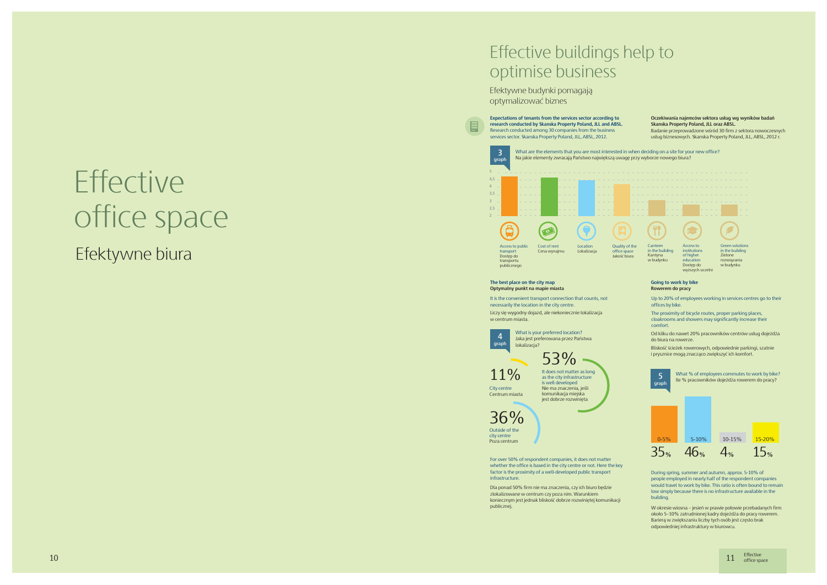# **Effective** office space

# Effective buildings help to optimise business

Efektywne budynki pomagają optymalizować biznes

#### **The best place on the city map Optymalny punkt na mapie miasta**

For over 50% of respondent companies, it does not matter whether the office is based in the city centre or not. Here the key factor is the proximity of a well-developed public transport infrastructure.

Dla ponad 50% firm nie ma znaczenia, czy ich biuro będzie zlokalizowane w centrum czy poza nim. Warunkiem koniecznym jest jednak bliskość dobrze rozwiniętej komunikacji publicznej. W okresie wiosna – jesień w prawie połowie przebadanych firm

około 5–10% zatrudnionej kadry dojeżdża do pracy rowerem. Barierą w zwiększaniu liczby tych osób jest często brak odpowiedniej infrastruktury w biurowcu.



**4** What is your preferred location?<br> **4** Jaka jest preferowana przez Państwa<br> **graph** Jokalizacia? lokalizacja? 53%

> During spring, summer and autumn, approx. 5-10% of people employed in nearly half of the respondent companies would travel to work by bike. This ratio is often bound to remain low simply because there is no infrastructure available in the building.



 $11$  Effective office space

Liczy się wygodny dojazd, ale niekoniecznie lokalizacja w centrum miasta.



It is the convenient transport connection that counts, not necessarily the location in the city centre.

**Oczekiwania najemców sektora usług wg wyników badań**  Badanie przeprowadzone wśród 30 firm z sektora nowoczesnych usług biznesowych. Skanska Property Poland, JLL, ABSL, 2012 r.

#### **Going to work by bike Rowerem do pracy**

Up to 20% of employees working in services centres go to their offices by bike.

The proximity of bicycle routes, proper parking places, cloakrooms and showers may significantly increase their comfort.

Od kilku do nawet 20% pracowników centrów usług dojeżdża do biura na rowerze.

Bliskość ścieżek rowerowych, odpowiednie parkingi, szatnie i prysznice mogą znacząco zwiększyć ich komfort.





Centrum miasta

36% Outside of the city centre

It does not matter as long as the city infrastructure is well developed Nie ma znaczenia, jeśli komunikacja miejska jest dobrze rozwinięta

# Efektywne biura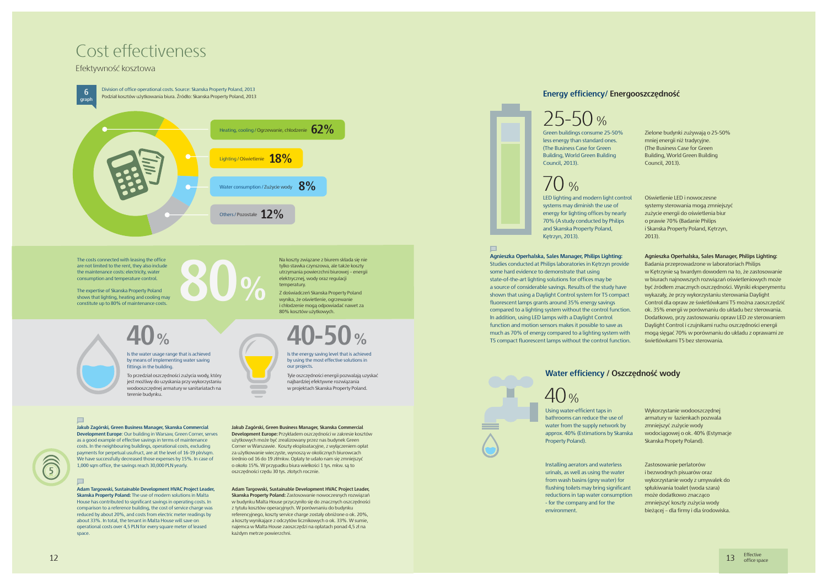**Jakub Zagórski, Green Business Manager, Skanska Commercial Development Europe**: Our building in Warsaw, Green Corner, serves as a good example of effective savings in terms of maintenance costs. In the neighbouring buildings, operational costs, excluding payments for perpetual usufruct, are at the level of 16-19 pln/sqm. We have successfully decreased those expenses by 15%. In case of 1,000 sqm office, the savings reach 30,000 PLN yearly.

### $\blacksquare$

**Adam Targowski, Sustainable Development HVAC Project Leader, Skanska Property Poland:** The use of modern solutions in Malta House has contributed to significant savings in operating costs. In comparison to a reference building, the cost of service charge was reduced by about 20%, and costs from electric meter readings by about 33%. In total, the tenant in Malta House will save on operational costs over 4,5 PLN for every square meter of leased space

**Jakub Zagórski, Green Business Manager, Skanska Commercial Development Europe:** Przykładem oszczędności w zakresie kosztów użytkowych może być zrealizowany przez nas budynek Green Corner w Warszawie. Koszty eksploatacyjne, z wyłączeniem opłat

### za użytkowanie wieczyste, wynoszą w okolicznych biurowcach średnio od 16 do 19 zł/mkw. Opłaty te udało nam się zmniejszyć o około 15%. W przypadku biura wielkości 1 tys. mkw. są to oszczędności rzędu 30 tys. złotych rocznie.

**Adam Targowski, Sustainable Development HVAC Project Leader, Skanska Property Poland:** Zastosowanie nowoczesnych rozwiązań w budynku Malta House przyczyniło się do znacznych oszczędności z tytułu kosztów operacyjnych. W porównaniu do budynku referencyjnego, koszty service charge zostały obniżone o ok. 20%, a koszty wynikające z odczytów licznikowych o ok. 33%. W sumie, najemca w Malta House zaoszczędzi na opłatach ponad 4,5 zł na każdym metrze powierzchni.

**Agnieszka Operhalska, Sales Manager, Philips Lighting:**  Studies conducted at Philips laboratories in Kętrzyn provide some hard evidence to demonstrate that using state-of-the-art lighting solutions for offices may be a source of considerable savings. Results of the study have shown that using a Daylight Control system for T5 compact fluorescent lamps grants around 35% energy savings compared to a lighting system without the control function. In addition, using LED lamps with a Daylight Control function and motion sensors makes it possible to save as much as 70% of energy compared to a lighting system with T5 compact fluorescent lamps without the control function

## Cost effectiveness

### Efektywność kosztowa

The costs connected with leasing the office are not limited to the rent, they also include the maintenance costs: electricity, water consumption and temperature control.

The expertise of Skanska Property Poland shows that lighting, heating and cooling may constitute up to 80% of maintenance costs.



Na koszty związane z biurem składa się nie tylko stawka czynszowa, ale także koszty

utrzymania powierzchni biurowej – energii elektrycznej, wody oraz regulacji temperatury. Z doświadczeń Skanska Property Poland wynika, że oświetlenie, ogrzewanie

To przedział oszczędności zużycia wody, który jest możliwy do uzyskania przy wykorzystaniu wodooszczędnej armatury w sanitariatach na terenie budynku.

### i chłodzenie mogą odpowiadać nawet za 80% kosztów użytkowych. **40-50**

LED lighting and modern light cont systems may diminish the use of energy for lighting offices by nearly 70% (A study conducted by Philips and Skanska Property Poland, Kętrzyn, 2013).

#### $\blacksquare$

Is the water usage range that is achieved by means of implementing water saving fittings in the building.



Tyle oszczędności energii pozwalają uzyskać najbardziej efektywne rozwiązania w projektach Skanska Property Poland.

### $\blacksquare$

Is the energy saving level that is achieved by using the most effective solutions in our projects.



### **Energy efficiency/ Energooszczędność**

less energy than standard ones. (The Business Case for Green Building, World Green Building Council, 2013).

# $7()$  %



|     | Zielone budynki zużywają o 25-50%<br>mniej energii niż tradycyjne.<br>(The Business Case for Green<br>Building, World Green Building<br>Council, 2013). |
|-----|---------------------------------------------------------------------------------------------------------------------------------------------------------|
| rol | Oświetlenie LED i nowoczesne                                                                                                                            |
|     | systemy sterowania mogą zmniejszyć                                                                                                                      |
|     | zużycie energii do oświetlenia biur                                                                                                                     |
|     | o prawie 70% (Badanie Philips                                                                                                                           |
|     | i Skanska Property Poland, Kętrzyn,                                                                                                                     |
|     | 2013).                                                                                                                                                  |
|     | Agnieszka Operhalska, Sales Manager, Philips Lighting:                                                                                                  |
| le  | Badania przeprowadzone w laboratoriach Philips                                                                                                          |
|     | w Kętrzynie są twardym dowodem na to, że zastosowanie                                                                                                   |
|     | w biurach najnowszych rozwiązań oświetleniowych może                                                                                                    |
|     | być źródłem znacznych oszczędności. Wyniki eksperymentu                                                                                                 |
| ct  | wykazały, że przy wykorzystaniu sterowania Daylight                                                                                                     |
|     | Control dla opraw ze świetlówkami T5 można zaoszczędzić                                                                                                 |
| m.  | ok. 35% energii w porównaniu do układu bez sterowania.                                                                                                  |
|     | Dodatkowo, przy zastosowaniu opraw LED ze sterowaniem                                                                                                   |
|     | Daylight Control i czujnikami ruchu oszczędności energii                                                                                                |
| th  | mogą sięgać 70% w porównaniu do układu z oprawami ze                                                                                                    |
| m.  | świetlówkami T5 bez sterowania.                                                                                                                         |

### **Water efficiency / Oszczędność wody**

# $40%$

Using water-efficient taps in bathrooms can reduce the use of water from the supply network by approx. 40% (Estimations by Skans Property Poland).

Installing aerators and waterless urinals, as well as using the water from wash basins (grey water) for flushing toilets may bring significa reductions in tap water consumption - for the company and for the environment.

| ska      | Wykorzystanie wodooszczednej<br>armatury w łazienkach pozwala<br>zmniejszyć zużycie wody<br>wodociągowej o ok. 40% (Estymacje<br>Skanska Propety Poland).                                                                           |
|----------|-------------------------------------------------------------------------------------------------------------------------------------------------------------------------------------------------------------------------------------|
| nt<br>on | Zastosowanie perlatorów<br>i bezwodnych pisuarów oraz<br>wykorzystanie wody z umywalek do<br>spłukiwania toalet (woda szara)<br>może dodatkowo znacząco<br>zmniejszyć koszty zużycia wody<br>bieżącej – dla firmy i dla środowiska. |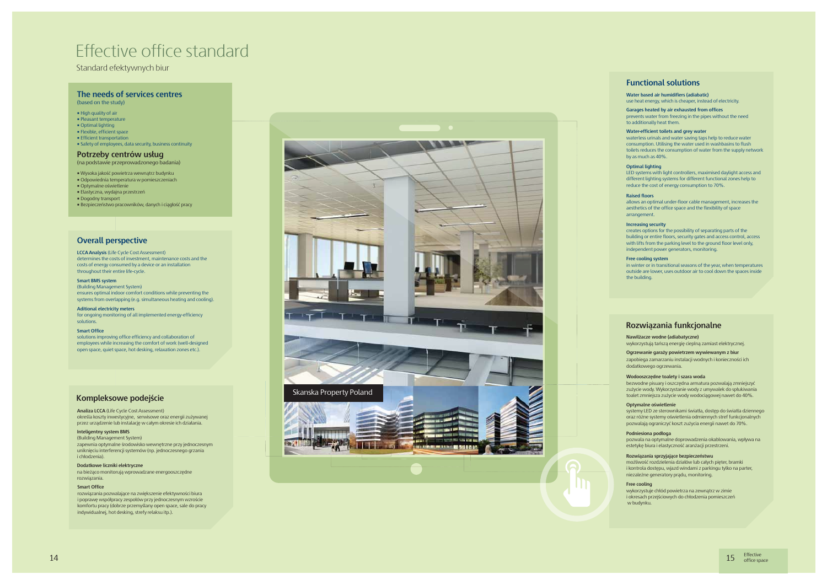

### Effective office standard

Standard efektywnych biur

**LCCA Analysis** (Life Cycle Cost Assessment) determines the costs of investment, maintenance costs and the costs of energy consumed by a device or an installation throughout their entire life-cycle.

#### **Smart BMS system**

(Building Management System) ensures optimal indoor comfort conditions while preventing the systems from overlapping (e.g. simultaneous heating and cooling).

**Aditional electricity meters** for ongoing monitoring of all implemented energy-efficiency solutions.

#### **Free cooling system**

in winter or in transitional seasons of the year, when temperatures outside are lower, uses outdoor air to cool down the spaces inside the building.

#### **Garages heated by air exhausted from offices**

prevents water from freezing in the pipes without the need to additionally heat them.

#### **Water-efficient toilets and grey water**

zapobiega zamarzaniu instalacji wodnych i konieczności ich dodatkowego ogrzewania.

waterless urinals and water saving taps help to reduce water consumption. Utilising the water used in washbasins to flush toilets reduces the consumption of water from the supply network by as much as 40%.

#### **Raised floors**

allows an optimal under-floor cable management, increases the aesthetics of the office space and the flexibility of space arrangement.

#### **Increasing security**

creates options for the possibility of separating parts of the building or entire floors, security gates and access control, access with lifts from the parking level to the ground floor level only, independent power generators, monitoring.

#### **Smart Office**

solutions improving office efficiency and collaboration of employees while increasing the comfort of work (well-designed open space, quiet space, hot desking, relaxation zones etc.).

**Water based air humidifiers (adiabatic)**  use heat energy, which is cheaper, instead of electricity.

#### **Ogrzewanie garaży powietrzem wywiewanym z biur**

#### **Wodooszczędne toalety i szara woda**

bezwodne pisuary i oszczędna armatura pozwalają zmniejszyć zużycie wody. Wykorzystanie wody z umywalek do spłukiwania toalet zmniejsza zużycie wody wodociągowej nawet do 40%.

#### **Podniesiona podłoga**

pozwala na optymalne doprowadzenia okablowania, wpływa na estetykę biura i elastyczność aranżacji przestrzeni.

#### **Rozwiązania sprzyjające bezpieczeństwu**

możliwość rozdzielenia działów lub całych pięter, bramki i kontrola dostępu, wjazd windami z parkingu tylko na parter, niezależne generatory prądu, monitoring.

#### **Nawilżacze wodne (adiabatyczne)**

wykorzystują tańszą energię cieplną zamiast elektrycznej.

**Analiza LCCA** (Life Cycle Cost Assessment) określa koszty inwestycyjne, serwisowe oraz energii zużywanej przez urządzenie lub instalację w całym okresie ich działania.

#### **Inteligentny system BMS**

(Building Management System)

zapewnia optymalne środowisko wewnętrzne przy jednoczesnym uniknięciu interferencji systemów (np. jednoczesnego grzania i chłodzenia).

#### **Dodatkowe liczniki elektryczne**

na bieżąco monitorują wprowadzane energooszczędne rozwiązania.

#### **Free cooling**

wykorzystuje chłód powietrza na zewnątrz w zimie i okresach przejściowych do chłodzenia pomieszczeń w budynku.

#### **Optimal lighting**

LED systems with light controllers, maximised daylight access and different lighting systems for different functional zones help to reduce the cost of energy consumption to 70%.

#### **Optymalne oświetlenie**

systemy LED ze sterownikami światła, dostęp do światła dziennego oraz różne systemy oświetlenia odmiennych stref funkcjonalnych pozwalają ograniczyć koszt zużycia energii nawet do 70%.

- Wysoka jakość powietrza wewnątrz budynku
- Odpowiednia temperatura w pomieszczeniach
- Optymalne oświetlenie
- Elastyczna, wydajna przestrzeń • Dogodny transport
- Bezpieczeństwo pracowników, danych i ciągłość pracy

• High quality of air

- Pleasant temperature
- Optimal lighting
- Flexible, efficient space
- Efficient transportation
- Safety of employees, data security, business continuity

#### **The needs of services centres** (based on the study)

**Potrzeby centrów usług** (na podstawie przeprowadzonego badania)

#### **Overall perspective**

### **Functional solutions**

### **Rozwiązania funkcjonalne**

#### **Kompleksowe podejście**

#### **Smart Office**

rozwiązania pozwalające na zwiększenie efektywności biura i poprawę współpracy zespołów przy jednoczesnym wzroście komfortu pracy (dobrze przemyślany open space, sale do pracy indywidualnej, hot desking, strefy relaksu itp.).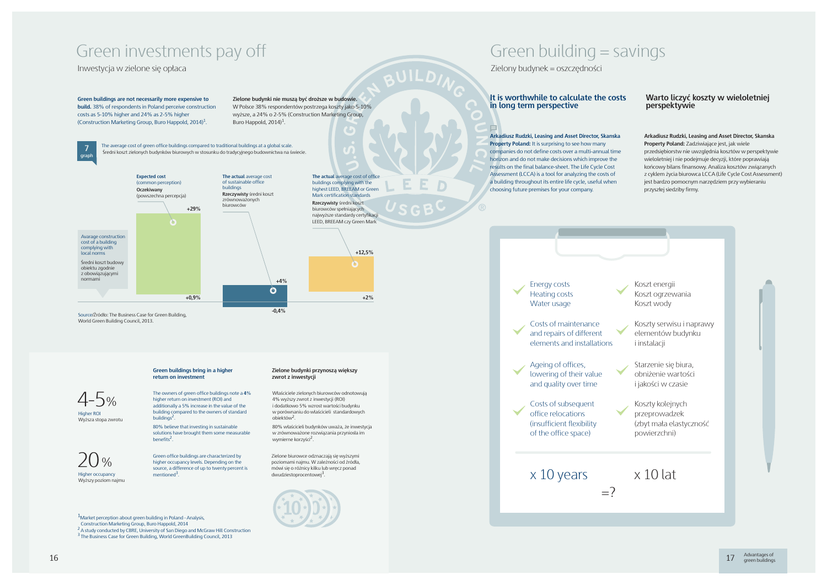### Green investments pay off

Inwestycja w zielone się opłaca

The owners of green office buildings note a **4**% higher return on investment (ROI) and additionally a 5% increase in the value of the building compared to the owners of standard buildings<sup>2</sup>

Higher ROI Wyższa stopa zwrotu

> Zielone biurowce odznaczają się wyższymi poziomami najmu. W zależności od źródła, mówi się o różnicy kilku lub wręcz ponad dwudziestoprocentowej



80% believe that investing in sustainable solutions have brought them some measurable benefits<sup>2</sup>.

Właściciele zielonych biurowców odnotowują 4% wyższy zwrot z inwestycji (ROI) i dodatkowo 5% wzrost wartości budynku w porównaniu do właścicieli standardowych obiektów<sup>2</sup>

Green office buildings are characterized by higher occupancy levels. Depending on the source, a difference of up to twenty percent is

Higher occupancy Wyższy poziom najmu  $\lambda$   $\Omega$ 

80% właścicieli budynków uważa, że inwestycja w zrównoważone rozwiązania przyniosła im wymierne korzyści<sup>2</sup>.

**Zielone budynki nie muszą być droższe w budowie.** W Polsce 38% respondentów postrzega koszty jako 5-10% wyższe, a 24% o 2-5% (Construction Marketing Group, Buro Happold, 2014)<sup>1</sup>.

 Construction Marketing Group, Buro Happold, 2014 <sup>2</sup> A study conducted by CBRE, University of San Diego and McGraw Hill Construction

<sup>3</sup> The Business Case for Green Building, World GreenBuilding Council, 2013

mentioned<sup>3</sup>

4-5%

**Green buildings are not necessarily more expensive to build.** 38% of respondents in Poland perceive construction costs as 5-10% higher and 24% as 2-5% higher (Construction Marketing Group, Buro Happold, 2014)1.

#### **Green buildings bring in a higher return on investment**

#### **Zielone budynki przynoszą większy zwrot z inwestycji**

**graph 7**



Koszty serwisu i naprawy elementów budynku i instalacii

The average cost of green office buildings compared to traditional buildings at a global scale. Średni koszt zielonych budynków biurowych w stosunku do tradycyjnego budownictwa na świecie.

**+12,5%**

 $\boldsymbol{\varphi}$ 

**+2%**

World Green Building Council, 2013.

### Green building = savings

Zielony budynek = oszczędności

### It is worthwhile to calculate the costs Warto liczyć koszty w wieloletniej<br>
in long term perspective **perspektywie** Warto liczyć koszty w wieloletniej<br>perspektywie

**Arkadiusz Rudzki, Leasing and Asset Director, Skanska Property Poland:** It is surprising to see how many companies do not define costs over a multi-annual time horizon and do not make decisions which improve the results on the final balance-sheet. The Life Cycle Cost Assessment (LCCA) is a tool for analyzing the costs of a building throughout its entire life cycle, useful when choosing future premises for your company.

**Arkadiusz Rudzki, Leasing and Asset Director, Skanska Property Poland:** Zadziwiające jest, jak wiele przedsiębiorstw nie uwzględnia kosztów w perspektywie wieloletniej i nie podejmuje decyzji, które poprawiają końcowy bilans finansowy. Analiza kosztów związanych z cyklem życia biurowca LCCA (Life Cycle Cost Assessment) jest bardzo pomocnym narzędziem przy wybieraniu przyszłej siedziby firmy.

Energy costs Heating costs Water usage

Costs of maintenance and repairs of different elements and installations

Ageing of offices, lowering of their value and quality over time

Costs of subsequent office relocations (insufficient flexibility of the office space)

### $\times$  10 years  $\times$  10 lat

 $1$ Market perception about green building in Poland - Analysis,

Koszt energii Koszt ogrzewania Koszt wody

Starzenie się biura, obniżenie wartości i jakości w czasie

Koszty kolejnych przeprowadzek (zbyt mała elastyczność powierzchni)

 $=$ ?

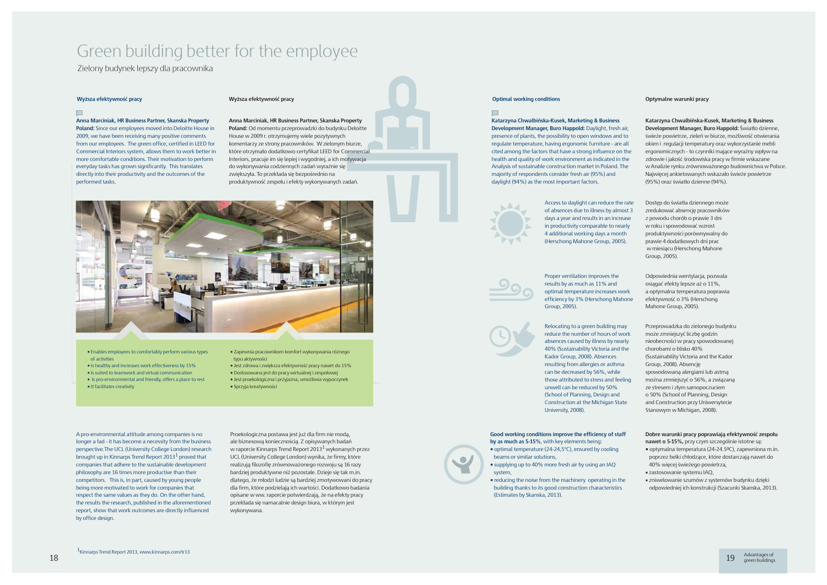## Green building better for the employee

Zielony budynek lepszy dla pracownika

#### **Wyższa efektywność pracy Wyższa efektywność pracy**

#### $\blacksquare$

**Anna Marciniak, HR Business Partner, Skanska Property Poland:** Since our employees moved into Deloitte House in 2009, we have been receiving many positive comments from our employees. The green office, certified in LEED for Commercial Interiors system, allows them to work better in more comfortable conditions. Their motivation to perform everyday tasks has grown significantly. This translates directly into their productivity and the outcomes of the performed tasks.

- Enables employees to comfortably perform various types of activities
- **Example 15 healthy and increases work effectiveness by 15%**
- Is suited to teamwork and virtual communication
- Is pro-environmental and friendly, offers a place to rest
- It facilitates creativity

• Zapewnia pracownikom komfort wykonywania różnego typu aktywności

- Jest zdrowa i zwiększa efektywność pracy nawet do 15%
- Dostosowana jest do pracy wirtualnej i zespołowej
- Jest proekologiczna i przyjazna, umożliwia wypoczynek
- Sprzyja kreatywności

**Anna Marciniak, HR Business Partner, Skanska Property Poland:** Od momentu przeprowadzki do budynku Deloitte House w 2009 r. otrzymujemy wiele pozytywnych komentarzy ze strony pracowników. W zielonym biurze, które otrzymało dodatkowo certyfikat LEED for Commercial Interiors, pracuje im się lepiej i wygodniej, a ich motywacja do wykonywania codziennych zadań wyraźnie się zwiększyła. To przekłada się bezpośrednio na produktywność zespołu i efekty wykonywanych zadań.



#### **Optimal working conditions Optymalne warunki pracy**

Access to daylight can reduce the rate of absences due to illness by almost days a year and results in an increase in productivity comparable to near 4 additional working days a month (Herschong Mahone Group, 2005).



**Katarzyna Chwalbińska-Kusek, Marketing & Business Development Manager, Buro Happold: Daylight, fresh air** presence of plants, the possibility to open windows and to regulate temperature, having ergonomic furniture - are all cited among the factors that have a strong influence on the health and quality of work environment as indicated in the Analysis of sustainable construction market in Poland. The majority of respondents consider fresh air (95%) and daylight (94%) as the most important factors.



**Good working conditions improve the efficiency of staff** 

- **by as much as 5-15%**, with key elements being: • optimal temperature (24-24,5°C), ensured by cooling beams or similar solutions,
- supplying up to 40% more fresh air by using an IAQ system,
- reducing the noise from the machinery operating in the building thanks to its good construction characteristics (Estimates by Skanska, 2013).

• zniwelowanie szumów z systemów budynku dzięki odpowiedniej ich konstrukcji (Szacunki Skanska, 2013).

| r,<br>Ö<br>แ<br>he<br>ie<br>e          | Katarzyna Chwalbińska-Kusek, Marketing & Business<br>Development Manager, Buro Happold: Światło dzienne,<br>świeże powietrze, zieleń w biurze, możliwość otwierania<br>okien i regulacji temperatury oraz wykorzystanie mebli<br>ergonomicznych - to czynniki mające wyraźny wpływ na<br>zdrowie i jakość środowiska pracy w firmie wskazane<br>w Analizie rynku zrównoważonego budownictwa w Polsce.<br>Najwięcej ankietowanych wskazało świeże powietrze<br>(95%) oraz światło dzienne (94%). |
|----------------------------------------|-------------------------------------------------------------------------------------------------------------------------------------------------------------------------------------------------------------------------------------------------------------------------------------------------------------------------------------------------------------------------------------------------------------------------------------------------------------------------------------------------|
| ate<br>$\mathsf{st}3$<br>se<br>ίv<br>ï | Dostęp do światła dziennego może<br>zredukować absencję pracowników<br>z powodu chorób o prawie 3 dni<br>w roku i spowodować wzrost<br>produktywności porównywalny do<br>prawie 4 dodatkowych dni prac<br>w miesiącu (Herschong Mahone<br>Group, 2005).                                                                                                                                                                                                                                         |
| rk<br>one                              | Odpowiednia wentylacja, pozwala<br>osiągać efekty lepsze aż o 11%,<br>a optymalna temperatura poprawia<br>efektywność o 3% (Herschong<br>Mahone Group, 2005).                                                                                                                                                                                                                                                                                                                                   |
| ľ<br>rk<br>ly<br>e<br>ng<br>è          | Przeprowadzka do zielonego budynku<br>może zmniejszyć liczbę godzin<br>nieobecności w pracy spowodowanej<br>chorobami o blisko 40%<br>(Sustainability Victoria and the Kador<br>Group, 2008). Absencję<br>spowodowaną alergiami lub astmą<br>można zmniejszyć o 56%, a związaną<br>ze stresem i złym samopoczuciem<br>o 50% (School of Planning, Design<br>and Construction przy Uniwersytecie<br>Stanowym w Michigan, 2008).                                                                   |
|                                        | Dobre warunki pracy poprawiają efektywność zespołu<br>nawet o 5-15%, przy czym szczególnie istotne są:<br>■ optymalna temperatura (24-24.5ºC), zapewniona m.in.<br>poprzez belki chłodzące, które dostarczają nawet do<br>40% więcej świeżego powietrza,<br>zastosowanie systemu IAQ,                                                                                                                                                                                                           |

Proper ventilation improves the results by as much as 11% and optimal temperature increases work efficiency by 3% (Herschong Maho Group, 2005).

Relocating to a green building may reduce the number of hours of work absences caused by illness by nearl 40% (Sustainability Victoria and the Kador Group, 2008). Absences resulting from allergies or asthma can be decreased by 56%, while those attributed to stress and feeling unwell can be reduced by 50% (School of Planning, Design and Construction at the Michigan State University, 2008).

A pro-environmental attitude among companies is no longer a fad - it has become a necessity from the business perspective.The UCL (University College London) research brought up in Kinnarps Trend Report 2013<sup>1</sup> proved that companies that adhere to the sustainable development philosophy are 16 times more productive than their competitors. This is, in part, caused by young people being more motivated to work for companies that respect the same values as they do. On the other hand, the results the research, published in the aforementioned report, show that work outcomes are directly influenced by office design.

Proekologiczna postawa jest już dla firm nie modą, ale biznesową koniecznością. Z opisywanych badań w raporcie Kinnarps Trend Report 2013<sup>1</sup> wykonanych przez UCL (University College London) wynika, że firmy, które realizują filozofię zrównoważonego rozwoju są 16 razy bardziej produktywne niż pozostałe. Dzieje się tak m.in. dlatego, że młodzi ludzie są bardziej zmotywowani do pracy dla firm, które podzielają ich wartości. Dodatkowo badania opisane w ww. raporcie potwierdzają, że na efekty pracy przekłada się namacalnie design biura, w którym jest wykonywana.

#### $\blacksquare$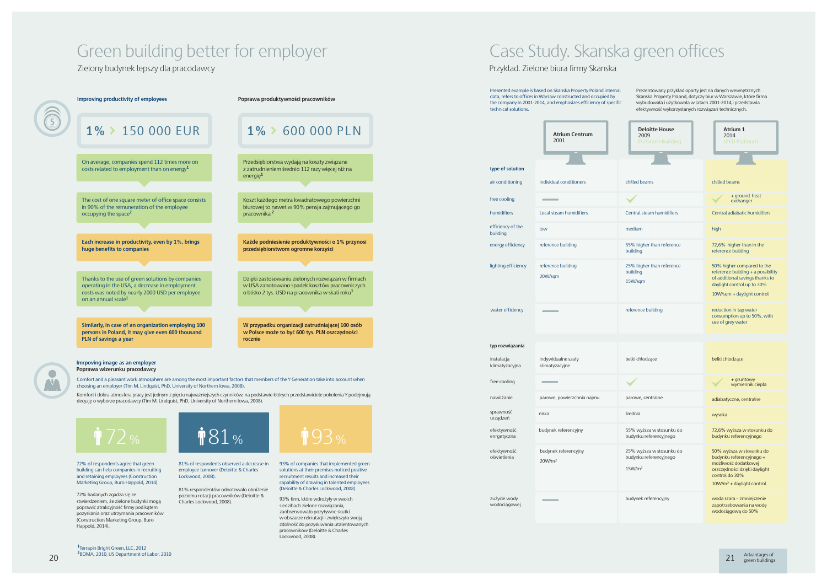### Green building better for employer Case Study. Skanska green offices

Zielony budynek lepszy dla pracodawcy

72% of respondents agree that green building can help companies in recruiting and retaining employees (Construction Marketing Group, Buro Happold, 2014).

81% respondentów odnotowało obniżenie poziomu rotacji pracowników (Deloitte & poziomu rotacji pracowników (Detoitte & 93% firm, które wdrożyły w swoich<br>Charles Lockwood, 2008)



81% of respondents observed a decrease in employee turnover (Deloitte & Charles Lockwood, 2008).

93% of companies that implemented green solutions at their premises noticed positive recruitment results and increased their capability of drawing in talented employees (Deloitte & Charles Lockwood, 2008).

72% badanych zgadza się ze stwierdzeniem, że zielone budynki mogą poprawić atrakcyjność firmy pod kątem pozyskania oraz utrzymania pracowników (Construction Marketing Group, Buro Happold, 2014).



siedzibach zielone rozwiązania, zaobserwowało pozytywne skutki w obszarze rekrutacji i zwiększyło swoją zdolność do pozyskiwania utalentowanych pracowników (Deloitte & Charles Lockwood, 2008).

Prezentowany przykład oparty jest na danych wewnętrznych Skanska Property Poland, dotyczy biur w Warszawie, które firma wybudowała i użytkowała w latach 2001-2014,i przedstawia efektywność wykorzystanych rozwiązań technicznych.

**<sup>1</sup>**Terrapin Bright Green, LLC, 2012 **<sup>2</sup>**BOMA, 2010, US Department of Labor, 2010





| <b>Deloitte House</b><br>2009<br><b>EU Green Building</b>                   | <b>Atrium 1</b><br>2014<br><b>LEED Platinum</b>                                                                                                                   |
|-----------------------------------------------------------------------------|-------------------------------------------------------------------------------------------------------------------------------------------------------------------|
| chilled beams                                                               | chilled beams                                                                                                                                                     |
|                                                                             | + ground heat<br>exchanger                                                                                                                                        |
| Central steam humidifiers                                                   | Central adiabatic humidifiers                                                                                                                                     |
| medium                                                                      | high                                                                                                                                                              |
| 55% higher than reference<br>building                                       | 72,6% higher than in the<br>reference building                                                                                                                    |
| 25% higher than reference<br>building<br>15W/sqm                            | 50% higher compared to the<br>reference building $+$ a possibility<br>of additional savings thanks to<br>daylight control up to 30%<br>10W/sqm + daylight control |
| reference building                                                          | reduction in tap water<br>consumption up to 50%, with<br>use of grey water                                                                                        |
|                                                                             |                                                                                                                                                                   |
| belki chłodzące                                                             | belki chłodzące                                                                                                                                                   |
|                                                                             | + gruntowy<br>wymiennik ciepła                                                                                                                                    |
| parowe, centralne                                                           | adiabatyczne, centralne                                                                                                                                           |
| średnia                                                                     | wysoka                                                                                                                                                            |
| 55% wyższa w stosunku do<br>budynku referencyjnego                          | 72,6% wyższa w stosunku do<br>budynku referencyjnego                                                                                                              |
| 25% wyższa w stosunku do<br>budynku referencyjnego<br>$15$ W/m <sup>2</sup> | 50% wyższa w stosunku do<br>budynku referencyjnego +<br>możliwość dodatkowej<br>oszczędności dzięki daylight<br>control do 30%<br>$10W/m2 +$ daylight control     |
| budynek referencyjny                                                        | woda szara – zmniejszenie<br>zapotrzebowania na wodę<br>wodociągową do 50%                                                                                        |

21 Advantages of green buildings

|                               | <b>Atrium Centrum</b><br>2001              | <b>Deloitte House</b><br>2009<br><b>EU Green Building</b>                   |
|-------------------------------|--------------------------------------------|-----------------------------------------------------------------------------|
| type of solution              |                                            |                                                                             |
| air conditioning              | individual conditioners                    | chilled beams                                                               |
| free cooling                  |                                            |                                                                             |
| humidifiers                   | Local steam humidifiers                    | Central steam humidifiers                                                   |
| efficiency of the<br>building | low                                        | medium                                                                      |
| energy efficiency             | reference building                         | 55% higher than reference<br>building                                       |
| lighting efficiency           | reference building<br>20W/sqm              | 25% higher than reference<br>building<br>15W/sqm                            |
| water efficiency              |                                            | reference building                                                          |
| typ rozwiązania               |                                            |                                                                             |
| instalacja<br>klimatyzacyjna  | indywidualne szafy<br>klimatyzacyjne       | belki chłodzące                                                             |
| free cooling                  |                                            |                                                                             |
| nawilżanie                    | parowe, powierzchnia najmu                 | parowe, centralne                                                           |
| sprawność<br>urządzeń         | niska                                      | średnia                                                                     |
| efektywność<br>enrgetyczna    | budynek referencyjny                       | 55% wyższa w stosunku do<br>budynku referencyjnego                          |
| efektywność<br>oświetlenia    | budynek referencyjny<br>20W/m <sup>2</sup> | 25% wyższa w stosunku do<br>budynku referencyjnego<br>$15$ W/m <sup>2</sup> |
| zużycie wody<br>wodociągowej  |                                            | budynek referencyjny                                                        |

Presented example is based on Skanska Property Poland internal data, refers to offices in Warsaw constructed and occupied by the company in 2001-2014, and emphasizes efficiency of specific technical solutions.

### Przykład. Zielone biura firmy Skanska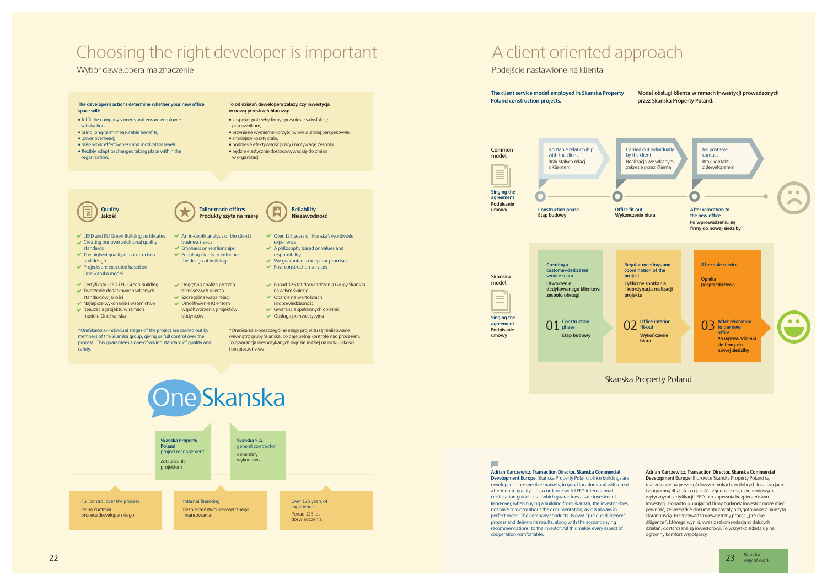

23 Skanska<br>way of work

### A client oriented approach

**Development Europe:** Biurowce Skanska Property Poland są realizowane na przyszłościowych rynkach, w dobrych lokalizacjach i z ogromną dbałością o jakość - zgodnie z międzynarodowymi wytycznymi certyfikacji LEED - co zapewnia bezpieczeństwo inwestycji. Ponadto, kupując od firmy budynek inwestor może mieć pewność, że wszystkie dokumenty zostały przygotowane z należytą starannością. Przeprowadza wewnętrzny proces "pre due

**Adrian Karczewicz, Transaction Director, Skanska Commercial Development Europe:** Skanska Property Poland office buildings are developed in prospective markets, in good locations and with great attention to quality - in accordance with LEED international certification guidelines – which guarantees a safe investment. Moreover, when buying a building from Skanska, the investor does not have to worry about the documentation, as it is always in perfect order. The company conducts its own "pre due diligence" process and delivers its results, along with the accompanying recommendations, to the investor. All this makes every aspect of cooperation comfortable.





**Adrian Karczewicz, Transaction Director, Skanska Commercial** 

diligence", którego wyniki, wraz z rekomendacjami dalszych działań, dostarczane są inwestorowi. To wszystko składa się na ogromny komfort współpracy.

- zaspokoi potrzeby firmy i przyniesie satysfakcję
- pracownikom,
- przyniesie wymierne korzyści w wieloletniej perspektywie, • zmniejszy koszty stałe,
- 
- podniesie efektywność pracy i motywację zespołu, • będzie elastycznie dostosowywać się do zmian
- w organizacji

- **Tailor-made offices Produkty szyte na miarę**
- $\triangleright$  An in-depth analysis of the client's Over 125 years of Skanska's worldwide
	- experience  $\overrightarrow{A}$  A philosophy based on values and
- $\blacktriangleright$  Emphasis on relationships  $\blacktriangleright$  Enabling clients to influence the design of buildings responsibility
- $\vee$  We quarantee to keep our promises  $\blacktriangleright$  Post-construction services
- - Ponad 125 lat doświadczenia Grupy Skanska na całym świecie
	- Oparcie na wartościach i odpowiedzialność
	- Gwarancja spełnionych obietnic Obsługa poinwestycyjna

# Choosing the right developer is important

#### Wybór dewelopera ma znaczenie

#### **The developer's actions determine whether your new office space will:**

- fulfil the company's needs and ensure employee
- satisfaction,
- bring long-term measurable benefits,
- lower overhead,
- **Example 3** raise work effectiveness and motivation levels
- flexibly adapt to changes taking place within the organization.

#### **To od działań dewelopera zależy, czy inwestycja w nową przestrzeń biurową:**

\*OneSkanska–individual stages of the project are carried out by members of the Skanska group, giving us full control over the process. This guarantees a one-of-a-kind standard of quality and safety.

\*OneSkanska-poszczególne etapy projektu są realizowane wewnątrz grupy Skanska, co daje pełną kontrolę nad procesem. To gwarancja niespotykanych nigdzie indziej na rynku jakości i bezpieczeństwa.

business needs

- LEED and EU Green Building certificates  $\checkmark$  Creating our own additional quality
- standards
- $\blacktriangleright$  The highest quality of construction and design
- $\blacktriangleright$  Projects are executed based on OneSkanska model
- Certyfikaty LEED i EU Green Building Tworzenie dodatkowych własnych
- standardów jakości  $\vee$  Najlepsze wykonanie i wzornictwo
- $\blacktriangleright$  Realizacja projektu w ramach modelu OneSkanska



**Reliability Niezawodność**

Dogłębna analiza potrzeb biznesowych Klienta **▼ Szczególna waga relacji** Umożliwienie Klientom współtworzenia projektów

budynków

#### Full control over the process **Skanska Property Poland** project management zarządzanie projektem **Skanska S.A.** general contructor generalny wykonawca Pełna kontrola procesu deweloperskiego ne Skanska Internal financing Bezpieczeństwo wewnętrznego finansowania Over 125 years of experience Ponad 125 lat doświadczenia

 $\blacksquare$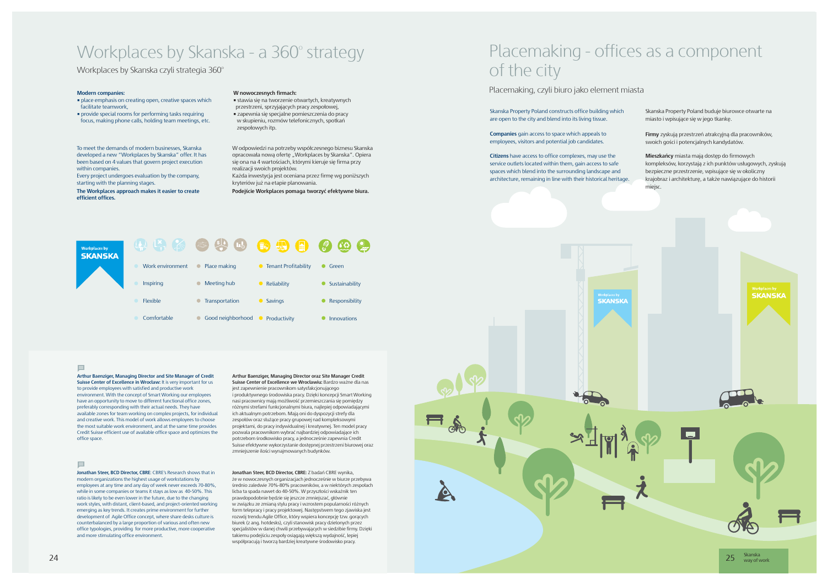### Workplaces by Skanska - a 360° strategy

Workplaces by Skanska czyli strategia 360°

To meet the demands of modern businesses, Skanska developed a new "Workplaces by Skanska" offer. It has been based on 4 values that govern project execution within companies.

Every project undergoes evaluation by the company, starting with the planning stages.

**The Workplaces approach makes it easier to create efficient offices.**

W odpowiedzi na potrzeby współczesnego biznesu Skanska opracowała nową ofertę "Workplaces by Skanska". Opiera się ona na 4 wartościach, którymi kieruje się firma przy realizacji swoich projektów. Każda inwestycja jest oceniana przez firmę wg poniższych

kryteriów już na etapie planowania.

**Podejście Workplaces pomaga tworzyć efektywne biura.**

#### **Modern companies:**

- place emphasis on creating open, creative spaces which facilitate teamwork,
- provide special rooms for performing tasks requiring focus, making phone calls, holding team meetings, etc.

#### **W nowoczesnych firmach:**

- stawia się na tworzenie otwartych, kreatywnych
- przestrzeni, sprzyjających pracy zespołowej,
- zapewnia się specjalne pomieszczenia do pracy w skupieniu, rozmów telefonicznych, spotkań zespołowych itp.

**Arthur Baenziger, Managing Director and Site Manager of Credit Suisse Center of Excellence in Wrocław:** It is very important for us to provide employees with satisfied and productive work environment. With the concept of Smart Working our employees have an opportunity to move to different functional office zones, preferably corresponding with their actual needs. They have available zones for team working on complex projects, for individual and creative work. This model of work allows employees to choose the most suitable work environment, and at the same time provides Credit Suisse efficient use of available office space and optimizes the office space.

### $\Box$

**Arthur Baenziger, Managing Director oraz Site Manager Credit Suisse Center of Excellence we Wrocławiu:** Bardzo ważne dla nas

jest zapewnienie pracownikom satysfakcjonującego i produktywnego środowiska pracy. Dzięki koncepcji Smart Working nasi pracownicy mają możliwość przemieszczania się pomiędzy różnymi strefami funkcjonalnymi biura, najlepiej odpowiadającymi ich aktualnym potrzebom. Mają oni do dyspozycji strefy dla zespołów oraz służące pracy grupowej nad kompleksowymi projektami, do pracy indywidualnej i kreatywnej. Ten model pracy pozwala pracownikom wybrać najbardziej odpowiadające ich potrzebom środkowisko pracy, a jednocześnie zapewnia Credit Suisse efektywne wykorzystanie dostępnej przestrzeni biurowej oraz zmniejszenie ilości wynajmowanych budynków.

**Jonathan Steer, BCD Director, CBRE**: CBRE's Research shows that in modern organizations the highest usage of workstations by employees at any time and any day of week never exceeds 70-80%, while in some companies or teams it stays as low as 40-50%. This ratio is likely to be even lower in the future, due to the changing work styles, with distant, client-based, and project-oriented working emerging as key trends. It creates prime environment for further development of Agile Office concept, where share desks culture is counterbalanced by a large proportion of various and often new office typologies, providing for more productive, more cooperative and more stimulating office environment.

**Jonathan Steer, BCD Director, CBRE:** Z badań CBRE wynika,

że w nowoczesnych organizacjach jednocześnie w biurze przebywa średnio zaledwie 70%-80% pracowników, a w niektórych zespołach licba ta spada nawet do 40-50%. W przyszłości wskaźnik ten prawdopodobnie będzie się jeszcze zmniejszać, głównie w związku ze zmianą stylu pracy i wzrostem popularności różnych form telepracy i pracy projektowej. Następstwem tego zjawiska jest rozwój trendu Agile Office, który wspiera koncepcję tzw. gorących biurek (z ang. hotdesks), czyli stanowisk pracy dzielonych przez specjalistów w danej chwili przebywających w siedzibie firmy. Dzięki takiemu podejściu zespoły osiągają większą wydajność, lepiej współpracują i tworzą bardziej kreatywne środowisko pracy.



#### $\blacksquare$



**Companies** gain access to space which appeals to employees, visitors and potential job candidates.

**Firmy** zyskują przestrzeń atrakcyjną dla pracowników, swoich gości i potencjalnych kandydatów.

# Placemaking - offices as a component of the city

Placemaking, czyli biuro jako element miasta

Skanska Property Poland constructs office building which are open to the city and blend into its living tissue.

Skanska Property Poland buduje biurowce otwarte na miasto i wpisujące się w jego tkankę.

**Citizens** have access to office complexes, may use the service outlets located within them, gain access to safe spaces which blend into the surrounding landscape and architecture, remaining in line with their historical heritage. **Mieszkańcy** miasta mają dostęp do firmowych kompleksów, korzystają z ich punktów usługowych, zyskują bezpieczne przestrzenie, wpisujące się w okoliczny krajobraz i architekturę, a także nawiązujące do historii miejsc.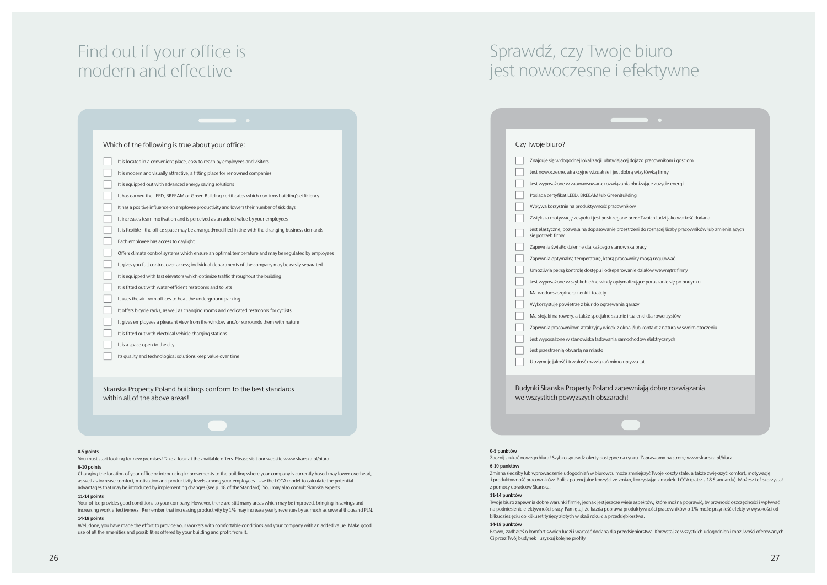## Find out if your office is modern and effective

Skanska Property Poland buildings conform to the best standards within all of the above areas!

#### **0-5 points**

You must start looking for new premises! Take a look at the available offers. Please visit our website www.skanska.pl/biura

#### **6-10 points**

Changing the location of your office or introducing improvements to the building where your company is currently based may lower overhead, as well as increase comfort, motivation and productivity levels among your employees. Use the LCCA model to calculate the potential advantages that may be introduced by implementing changes (see p. 18 of the Standard). You may also consult Skanska experts.

#### **11-14 points**

Your office provides good conditions to your company. However, there are still many areas which may be improved, bringing in savings and increasing work effectiveness. Remember that increasing productivity by 1% may increase yearly revenues by as much as several thousand PLN. **14-18 points**

Well done, you have made the effort to provide your workers with comfortable conditions and your company with an added value. Make good use of all the amenities and possibilities offered by your building and profit from it.

| Czy Twoje biuro?                                                                                                          |
|---------------------------------------------------------------------------------------------------------------------------|
| Znajduje się w dogodnej lokalizacji, ułatwiającej dojazd pracownikom i gościom                                            |
| Jest nowoczesne, atrakcyjne wizualnie i jest dobrą wizytówką firmy                                                        |
| Jest wyposażone w zaawansowane rozwiązania obniżające zużycie energii                                                     |
| Posiada certyfikat LEED, BREEAM lub GreenBuilding                                                                         |
| Wpływa korzystnie na produktywność pracowników                                                                            |
| Zwiększa motywację zespołu i jest postrzegane przez Twoich ludzi jako wartość dodana                                      |
| Jest elastyczne, pozwala na dopasowanie przestrzeni do rosnącej liczby pracowników lub zmieniających<br>się potrzeb firmy |
| Zapewnia światło dzienne dla każdego stanowiska pracy                                                                     |
| Zapewnia optymalną temperaturę, którą pracownicy mogą regulować                                                           |
| Umożliwia pełną kontrolę dostępu i odseparowanie działów wewnątrz firmy                                                   |
| Jest wyposażone w szybkobieżne windy optymalizujące poruszanie się po budynku                                             |
| Ma wodooszczędne łazienki i toalety                                                                                       |
| Wykorzystuje powietrze z biur do ogrzewania garaży                                                                        |
| Ma stojaki na rowery, a także specjalne szatnie i łazienki dla rowerzystów                                                |
| Zapewnia pracownikom atrakcyjny widok z okna i/lub kontakt z naturą w swoim otoczeniu                                     |
| Jest wyposażone w stanowiska ładowania samochodów elektrycznych                                                           |
| Jest przestrzenią otwartą na miasto                                                                                       |
| Utrzymuje jakość i trwałość rozwiązań mimo upływu lat                                                                     |
| Budynki Skanska Property Poland zapewniają dobre rozwiązania<br>we wszystkich powyższych obszarach!                       |

| Which of the following is true about your office:                                                     |
|-------------------------------------------------------------------------------------------------------|
| It is located in a convenient place, easy to reach by employees and visitors                          |
| It is modern and visually attractive, a fitting place for renowned companies                          |
| It is equipped out with advanced energy saving solutions                                              |
| It has earned the LEED, BREEAM or Green Building certificates which confirms building's efficiency    |
| It has a positive influence on employee productivity and lowers their number of sick days             |
| It increases team motivation and is perceived as an added value by your employees                     |
| It is flexible - the office space may be arranged/modified in line with the changing business demands |
| Each employee has access to daylight                                                                  |
| Offers climate control systems which ensure an optimal temperature and may be regulated by employees  |
| It gives you full control over access; individual departments of the company may be easily separated  |
| It is equipped with fast elevators which optimize traffic throughout the building                     |
| It is fitted out with water-efficient restrooms and toilets                                           |
| It uses the air from offices to heat the underground parking                                          |
| It offers bicycle racks, as well as changing rooms and dedicated restrooms for cyclists               |
| It gives employees a pleasant view from the window and/or surrounds them with nature                  |
| It is fitted out with electrical vehicle charging stations                                            |
| It is a space open to the city                                                                        |
| Its quality and technological solutions keep value over time                                          |

# Sprawdź, czy Twoje biuro jest nowoczesne i efektywne

#### **0-5 punktów**

Zacznij szukać nowego biura! Szybko sprawdź oferty dostępne na rynku. Zapraszamy na stronę www.skanska.pl/biura.

#### **6-10 punktów**

Zmiana siedziby lub wprowadzenie udogodnień w biurowcu może zmniejszyć Twoje koszty stałe, a także zwiększyć komfort, motywację i produktywność pracowników. Policz potencjalne korzyści ze zmian, korzystając z modelu LCCA (patrz s.18 Standardu). Możesz też skorzystać z pomocy doradców Skanska.

#### **11-14 punktów**

Twoje biuro zapewnia dobre warunki firmie, jednak jest jeszcze wiele aspektów, które można poprawić, by przynosić oszczędności i wpływać na podniesienie efektywności pracy. Pamiętaj, że każda poprawa produktywności pracowników o 1% może przynieść efekty w wysokości od kilkudziesięciu do kilkuset tysięcy złotych w skali roku dla przedsiębiorstwa.

#### **14-18 punktów**

Brawo, zadbałeś o komfort swoich ludzi i wartość dodaną dla przedsiębiorstwa. Korzystaj ze wszystkich udogodnień i możliwości oferowanych

Ci przez Twój budynek i uzyskuj kolejne profity.